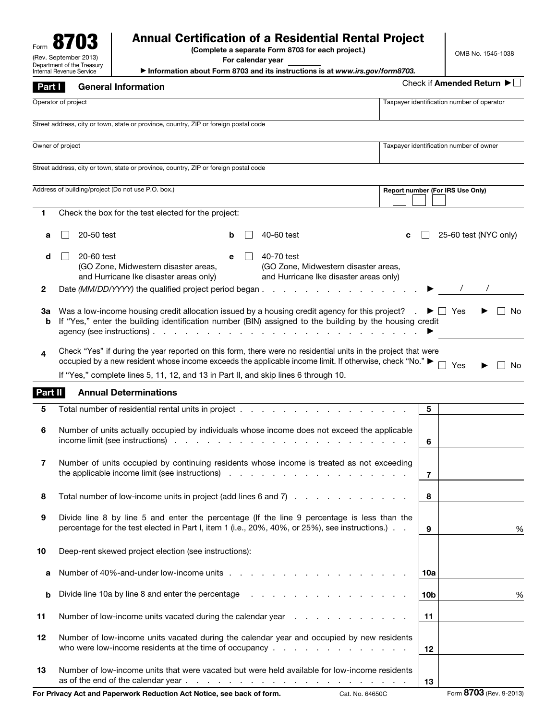| <b>Annual Certification of a Residential Rental Project</b><br>(Complete a separate Form 8703 for each project.)<br>(Rev. September 2013)<br>For calendar year<br>Department of the Treasury |                                                                                                                                                                                               |                                                                                      |   |  | OMB No. 1545-1038                                                                                                                                                                                                                                                                                                                                                |   |                 |                                            |                           |
|----------------------------------------------------------------------------------------------------------------------------------------------------------------------------------------------|-----------------------------------------------------------------------------------------------------------------------------------------------------------------------------------------------|--------------------------------------------------------------------------------------|---|--|------------------------------------------------------------------------------------------------------------------------------------------------------------------------------------------------------------------------------------------------------------------------------------------------------------------------------------------------------------------|---|-----------------|--------------------------------------------|---------------------------|
|                                                                                                                                                                                              | Internal Revenue Service                                                                                                                                                                      |                                                                                      |   |  | Information about Form 8703 and its instructions is at www.irs.gov/form8703.                                                                                                                                                                                                                                                                                     |   |                 |                                            | Check if Amended Return ▶ |
| Part I                                                                                                                                                                                       |                                                                                                                                                                                               | <b>General Information</b>                                                           |   |  |                                                                                                                                                                                                                                                                                                                                                                  |   |                 |                                            |                           |
|                                                                                                                                                                                              | Operator of project                                                                                                                                                                           |                                                                                      |   |  |                                                                                                                                                                                                                                                                                                                                                                  |   |                 | Taxpayer identification number of operator |                           |
|                                                                                                                                                                                              |                                                                                                                                                                                               | Street address, city or town, state or province, country, ZIP or foreign postal code |   |  |                                                                                                                                                                                                                                                                                                                                                                  |   |                 |                                            |                           |
|                                                                                                                                                                                              | Owner of project                                                                                                                                                                              |                                                                                      |   |  |                                                                                                                                                                                                                                                                                                                                                                  |   |                 | Taxpayer identification number of owner    |                           |
|                                                                                                                                                                                              |                                                                                                                                                                                               | Street address, city or town, state or province, country, ZIP or foreign postal code |   |  |                                                                                                                                                                                                                                                                                                                                                                  |   |                 |                                            |                           |
|                                                                                                                                                                                              |                                                                                                                                                                                               | Address of building/project (Do not use P.O. box.)                                   |   |  |                                                                                                                                                                                                                                                                                                                                                                  |   |                 | Report number (For IRS Use Only)           |                           |
| 1                                                                                                                                                                                            |                                                                                                                                                                                               | Check the box for the test elected for the project:                                  |   |  |                                                                                                                                                                                                                                                                                                                                                                  |   |                 |                                            |                           |
|                                                                                                                                                                                              |                                                                                                                                                                                               |                                                                                      |   |  |                                                                                                                                                                                                                                                                                                                                                                  |   |                 |                                            |                           |
| а                                                                                                                                                                                            | 20-50 test                                                                                                                                                                                    |                                                                                      | b |  | 40-60 test                                                                                                                                                                                                                                                                                                                                                       | c |                 |                                            | 25-60 test (NYC only)     |
| d                                                                                                                                                                                            | 20-60 test                                                                                                                                                                                    | (GO Zone, Midwestern disaster areas,<br>and Hurricane Ike disaster areas only)       | e |  | 40-70 test<br>(GO Zone, Midwestern disaster areas,<br>and Hurricane Ike disaster areas only)                                                                                                                                                                                                                                                                     |   |                 |                                            |                           |
| 2                                                                                                                                                                                            |                                                                                                                                                                                               | Date (MM/DD/YYYY) the qualified project period began                                 |   |  | the contract of the contract of the contract of                                                                                                                                                                                                                                                                                                                  |   |                 |                                            |                           |
| За<br>b<br>4                                                                                                                                                                                 | agency (see instructions).                                                                                                                                                                    |                                                                                      |   |  | Was a low-income housing credit allocation issued by a housing credit agency for this project?<br>If "Yes," enter the building identification number (BIN) assigned to the building by the housing credit<br>and a straight and a straight and<br>Check "Yes" if during the year reported on this form, there were no residential units in the project that were |   |                 | $\blacktriangleright$ I I Yes              | No                        |
|                                                                                                                                                                                              |                                                                                                                                                                                               |                                                                                      |   |  | occupied by a new resident whose income exceeds the applicable income limit. If otherwise, check "No." ▶                                                                                                                                                                                                                                                         |   |                 | Yes                                        | No                        |
|                                                                                                                                                                                              |                                                                                                                                                                                               |                                                                                      |   |  | If "Yes," complete lines 5, 11, 12, and 13 in Part II, and skip lines 6 through 10.                                                                                                                                                                                                                                                                              |   |                 |                                            |                           |
| Part II                                                                                                                                                                                      |                                                                                                                                                                                               | <b>Annual Determinations</b>                                                         |   |  |                                                                                                                                                                                                                                                                                                                                                                  |   |                 |                                            |                           |
| 5                                                                                                                                                                                            |                                                                                                                                                                                               | Total number of residential rental units in project                                  |   |  |                                                                                                                                                                                                                                                                                                                                                                  |   | 5               |                                            |                           |
| 6                                                                                                                                                                                            |                                                                                                                                                                                               |                                                                                      |   |  | Number of units actually occupied by individuals whose income does not exceed the applicable                                                                                                                                                                                                                                                                     |   | 6               |                                            |                           |
| 7                                                                                                                                                                                            |                                                                                                                                                                                               |                                                                                      |   |  | Number of units occupied by continuing residents whose income is treated as not exceeding                                                                                                                                                                                                                                                                        |   | $\overline{7}$  |                                            |                           |
| 8                                                                                                                                                                                            |                                                                                                                                                                                               |                                                                                      |   |  | Total number of low-income units in project (add lines 6 and 7)                                                                                                                                                                                                                                                                                                  |   | 8               |                                            |                           |
| 9                                                                                                                                                                                            | Divide line 8 by line 5 and enter the percentage (If the line 9 percentage is less than the<br>percentage for the test elected in Part I, item 1 (i.e., 20%, 40%, or 25%), see instructions.) |                                                                                      |   |  |                                                                                                                                                                                                                                                                                                                                                                  |   |                 |                                            | %                         |
| 10                                                                                                                                                                                           |                                                                                                                                                                                               | Deep-rent skewed project election (see instructions):                                |   |  |                                                                                                                                                                                                                                                                                                                                                                  |   |                 |                                            |                           |
| а                                                                                                                                                                                            |                                                                                                                                                                                               |                                                                                      |   |  |                                                                                                                                                                                                                                                                                                                                                                  |   | 10a             |                                            |                           |
| b                                                                                                                                                                                            |                                                                                                                                                                                               |                                                                                      |   |  | Divide line 10a by line 8 and enter the percentage enter the series of the series of the series of the Divide line 3 and 2011 and 2012 and 2013 and 2013 and 2013 and 2013 and 2013 and 2013 and 2013 and 2013 and 2013 and 20                                                                                                                                   |   | 10 <sub>b</sub> |                                            | %                         |
| 11                                                                                                                                                                                           |                                                                                                                                                                                               |                                                                                      |   |  | Number of low-income units vacated during the calendar year                                                                                                                                                                                                                                                                                                      |   | 11              |                                            |                           |
| 12                                                                                                                                                                                           |                                                                                                                                                                                               |                                                                                      |   |  | Number of low-income units vacated during the calendar year and occupied by new residents                                                                                                                                                                                                                                                                        |   | 12              |                                            |                           |
| 13                                                                                                                                                                                           |                                                                                                                                                                                               |                                                                                      |   |  | Number of low-income units that were vacated but were held available for low-income residents                                                                                                                                                                                                                                                                    |   | 13              |                                            |                           |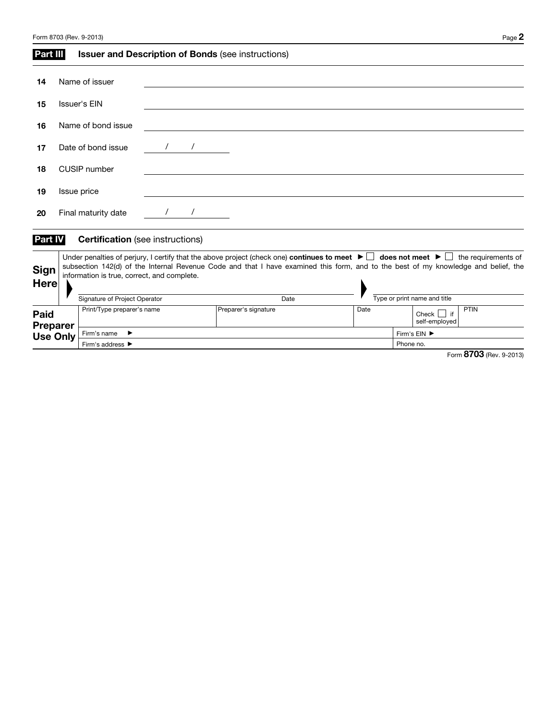| Form 8703 (Rev. 9-2013) | $P$ age $\boldsymbol{Z}$ |
|-------------------------|--------------------------|
|-------------------------|--------------------------|

| Part III                           |                               | <b>Issuer and Description of Bonds (see instructions)</b> |  |  |      |                      |  |                              |      |              |                                  |                                                                                                                                                                                                                                                                                                                          |  |
|------------------------------------|-------------------------------|-----------------------------------------------------------|--|--|------|----------------------|--|------------------------------|------|--------------|----------------------------------|--------------------------------------------------------------------------------------------------------------------------------------------------------------------------------------------------------------------------------------------------------------------------------------------------------------------------|--|
| 14                                 |                               | Name of issuer                                            |  |  |      |                      |  |                              |      |              |                                  |                                                                                                                                                                                                                                                                                                                          |  |
| 15                                 |                               | <b>Issuer's EIN</b>                                       |  |  |      |                      |  |                              |      |              |                                  |                                                                                                                                                                                                                                                                                                                          |  |
| 16                                 |                               | Name of bond issue                                        |  |  |      |                      |  |                              |      |              |                                  |                                                                                                                                                                                                                                                                                                                          |  |
| 17                                 |                               | Date of bond issue                                        |  |  |      |                      |  |                              |      |              |                                  |                                                                                                                                                                                                                                                                                                                          |  |
| 18                                 |                               | <b>CUSIP</b> number                                       |  |  |      |                      |  |                              |      |              |                                  |                                                                                                                                                                                                                                                                                                                          |  |
| 19                                 |                               | Issue price                                               |  |  |      |                      |  |                              |      |              |                                  |                                                                                                                                                                                                                                                                                                                          |  |
| 20                                 |                               | Final maturity date                                       |  |  |      |                      |  |                              |      |              |                                  |                                                                                                                                                                                                                                                                                                                          |  |
| Part IV                            |                               | <b>Certification</b> (see instructions)                   |  |  |      |                      |  |                              |      |              |                                  |                                                                                                                                                                                                                                                                                                                          |  |
| <b>Sign</b><br>Here                |                               | information is true, correct, and complete.               |  |  |      |                      |  |                              |      |              |                                  | Under penalties of perjury, I certify that the above project (check one) continues to meet $\blacktriangleright \Box$ does not meet $\blacktriangleright \Box$ the requirements of<br>subsection 142(d) of the Internal Revenue Code and that I have examined this form, and to the best of my knowledge and belief, the |  |
|                                    | Signature of Project Operator |                                                           |  |  | Date |                      |  | Type or print name and title |      |              |                                  |                                                                                                                                                                                                                                                                                                                          |  |
| Paid                               |                               | Print/Type preparer's name                                |  |  |      | Preparer's signature |  |                              | Date |              | Check $\Box$ if<br>self-employed | PTIN                                                                                                                                                                                                                                                                                                                     |  |
| <b>Preparer</b><br><b>Use Only</b> |                               | Firm's name<br>$\rightarrow$                              |  |  |      |                      |  |                              |      | Firm's EIN ▶ |                                  |                                                                                                                                                                                                                                                                                                                          |  |
|                                    |                               | Firm's address $\blacktriangleright$                      |  |  |      |                      |  |                              |      | Phone no.    |                                  |                                                                                                                                                                                                                                                                                                                          |  |
|                                    |                               |                                                           |  |  |      |                      |  |                              |      |              |                                  | Form 8703 (Rev. 9-2013)                                                                                                                                                                                                                                                                                                  |  |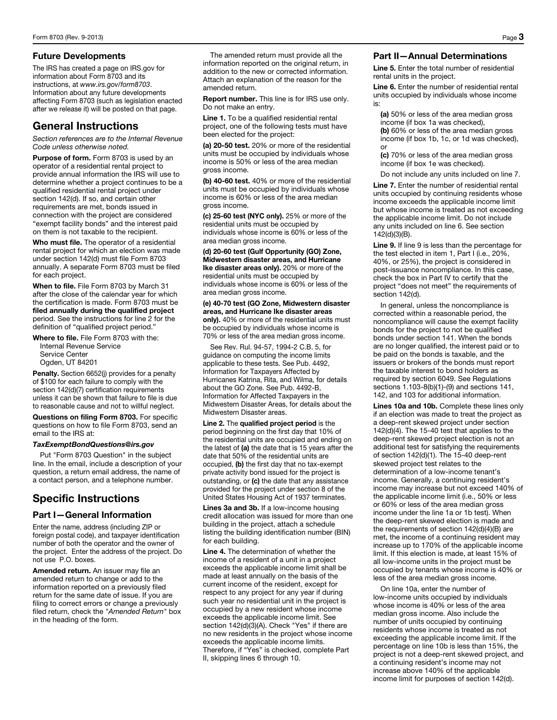#### Future Developments

The IRS has created a page on IRS.gov for information about Form 8703 and its instructions, at *www.irs.gov/form8703*. Information about any future developments affecting Form 8703 (such as legislation enacted after we release it) will be posted on that page.

## General Instructions

*Section references are to the Internal Revenue Code unless otherwise noted.* 

Purpose of form. Form 8703 is used by an operator of a residential rental project to provide annual information the IRS will use to determine whether a project continues to be a qualified residential rental project under section 142(d). If so, and certain other requirements are met, bonds issued in connection with the project are considered "exempt facility bonds" and the interest paid on them is not taxable to the recipient.

Who must file. The operator of a residential rental project for which an election was made under section 142(d) must file Form 8703 annually. A separate Form 8703 must be filed for each project.

When to file. File Form 8703 by March 31 after the close of the calendar year for which the certification is made. Form 8703 must be filed annually during the qualified project period. See the instructions for line 2 for the definition of "qualified project period."

Where to file. File Form 8703 with the: Internal Revenue Service Service Center Ogden, UT 84201

Penalty. Section 6652(j) provides for a penalty of \$100 for each failure to comply with the section 142(d)(7) certification requirements unless it can be shown that failure to file is due to reasonable cause and not to willful neglect.

Questions on filing Form 8703. For specific questions on how to file Form 8703, send an email to the IRS at:

#### *TaxExemptBondQuestions@irs.gov*

Put "Form 8703 Question" in the subject line. In the email, include a description of your question, a return email address, the name of a contact person, and a telephone number.

# Specific Instructions

#### Part I—General Information

Enter the name, address (including ZIP or foreign postal code), and taxpayer identification number of both the operator and the owner of the project. Enter the address of the project. Do not use P.O. boxes.

Amended return. An issuer may file an amended return to change or add to the information reported on a previously filed return for the same date of issue. If you are filing to correct errors or change a previously filed return, check the *"Amended Return"* box in the heading of the form.

The amended return must provide all the information reported on the original return, in addition to the new or corrected information. Attach an explanation of the reason for the amended return.

Report number. This line is for IRS use only. Do not make an entry.

Line 1. To be a qualified residential rental project, one of the following tests must have been elected for the project:

(a) 20-50 test. 20% or more of the residential units must be occupied by individuals whose income is 50% or less of the area median gross income.

(b) 40-60 test. 40% or more of the residential units must be occupied by individuals whose income is 60% or less of the area median gross income.

(c) 25-60 test (NYC only). 25% or more of the residential units must be occupied by individuals whose income is 60% or less of the area median gross income.

(d) 20-60 test (Gulf Opportunity (GO) Zone, Midwestern disaster areas, and Hurricane Ike disaster areas only). 20% or more of the residential units must be occupied by individuals whose income is 60% or less of the area median gross income.

(e) 40-70 test (GO Zone, Midwestern disaster areas, and Hurricane Ike disaster areas only). 40% or more of the residential units must be occupied by individuals whose income is 70% or less of the area median gross income.

See Rev. Rul. 94-57, 1994-2 C.B. 5, for guidance on computing the income limits applicable to these tests. See Pub. 4492, Information for Taxpayers Affected by Hurricanes Katrina, Rita, and Wilma, for details about the GO Zone. See Pub. 4492-B, Information for Affected Taxpayers in the Midwestern Disaster Areas, for details about the Midwestern Disaster areas.

Line 2. The qualified project period is the period beginning on the first day that 10% of the residential units are occupied and ending on the latest of (a) the date that is 15 years after the date that 50% of the residential units are occupied, (b) the first day that no tax-exempt private activity bond issued for the project is outstanding, or (c) the date that any assistance provided for the project under section 8 of the United States Housing Act of 1937 terminates.

Lines 3a and 3b. If a low-income housing credit allocation was issued for more than one building in the project, attach a schedule listing the building identification number (BIN) for each building.

Line 4. The determination of whether the income of a resident of a unit in a project exceeds the applicable income limit shall be made at least annually on the basis of the current income of the resident, except for respect to any project for any year if during such year no residential unit in the project is occupied by a new resident whose income exceeds the applicable income limit. See section 142(d)(3)(A). Check "Yes" if there are no new residents in the project whose income exceeds the applicable income limits. Therefore, if "Yes" is checked, complete Part II, skipping lines 6 through 10.

### Part II—Annual Determinations

Line 5. Enter the total number of residential rental units in the project.

Line 6. Enter the number of residential rental units occupied by individuals whose income is:

(a) 50% or less of the area median gross income (if box 1a was checked), (b) 60% or less of the area median gross income (if box 1b, 1c, or 1d was checked), or

(c) 70% or less of the area median gross income (if box 1e was checked).

Do not include any units included on line 7.

Line 7. Enter the number of residential rental units occupied by continuing residents whose income exceeds the applicable income limit but whose income is treated as not exceeding the applicable income limit. Do not include any units included on line 6. See section 142(d)(3)(B).

Line 9. If line 9 is less than the percentage for the test elected in item 1, Part I (i.e., 20%, 40%, or 25%), the project is considered in post-issuance noncompliance. In this case, check the box in Part IV to certify that the project "does not meet" the requirements of section 142(d).

In general, unless the noncompliance is corrected within a reasonable period, the noncompliance will cause the exempt facility bonds for the project to not be qualified bonds under section 141. When the bonds are no longer qualified, the interest paid or to be paid on the bonds is taxable, and the issuers or brokers of the bonds must report the taxable interest to bond holders as required by section 6049. See Regulations sections 1.103-8(b)(1)-(9) and sections 141, 142, and 103 for additional information.

Lines 10a and 10b. Complete these lines only if an election was made to treat the project as a deep-rent skewed project under section 142(d)(4). The 15-40 test that applies to the deep-rent skewed project election is not an additional test for satisfying the requirements of section 142(d)(1). The 15-40 deep-rent skewed project test relates to the determination of a low-income tenant's income. Generally, a continuing resident's income may increase but not exceed 140% of the applicable income limit (i.e., 50% or less or 60% or less of the area median gross income under the line 1a or 1b test). When the deep-rent skewed election is made and the requirements of section 142(d)(4)(B) are met, the income of a continuing resident may increase up to 170% of the applicable income limit. If this election is made, at least 15% of all low-income units in the project must be occupied by tenants whose income is 40% or less of the area median gross income.

On line 10a, enter the number of low-income units occupied by individuals whose income is 40% or less of the area median gross income. Also include the number of units occupied by continuing residents whose income is treated as not exceeding the applicable income limit. If the percentage on line 10b is less than 15%, the project is not a deep-rent skewed project, and a continuing resident's income may not increase above 140% of the applicable income limit for purposes of section 142(d).